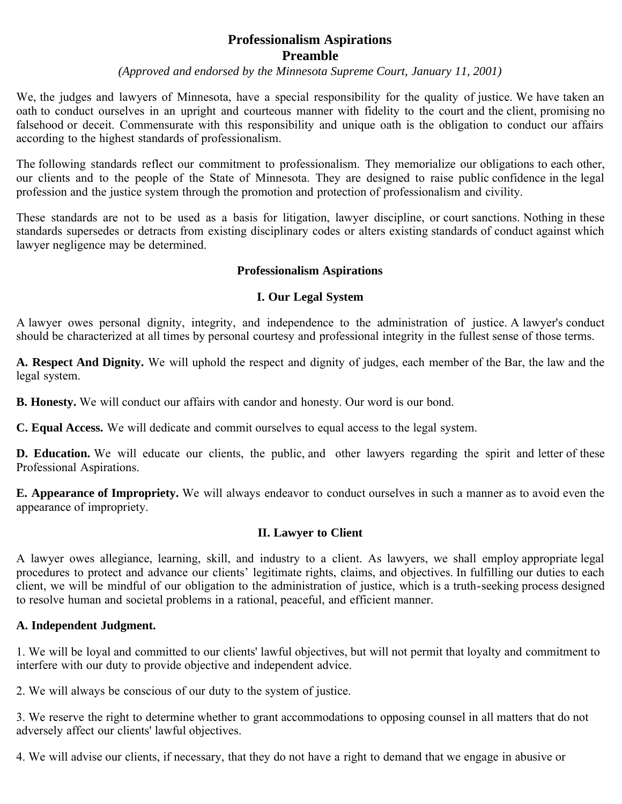# **Professionalism Aspirations Preamble**

#### *(Approved and endorsed by the Minnesota Supreme Court, January 11, 2001)*

We, the judges and lawyers of Minnesota, have a special responsibility for the quality of justice. We have taken an oath to conduct ourselves in an upright and courteous manner with fidelity to the court and the client, promising no falsehood or deceit. Commensurate with this responsibility and unique oath is the obligation to conduct our affairs according to the highest standards of professionalism.

The following standards reflect our commitment to professionalism. They memorialize our obligations to each other, our clients and to the people of the State of Minnesota. They are designed to raise public confidence in the legal profession and the justice system through the promotion and protection of professionalism and civility.

These standards are not to be used as a basis for litigation, lawyer discipline, or court sanctions. Nothing in these standards supersedes or detracts from existing disciplinary codes or alters existing standards of conduct against which lawyer negligence may be determined.

## **Professionalism Aspirations**

#### **I. Our Legal System**

A lawyer owes personal dignity, integrity, and independence to the administration of justice. A lawyer's conduct should be characterized at all times by personal courtesy and professional integrity in the fullest sense of those terms.

**A. Respect And Dignity.** We will uphold the respect and dignity of judges, each member of the Bar, the law and the legal system.

**B. Honesty.** We will conduct our affairs with candor and honesty. Our word is our bond.

**C. Equal Access.** We will dedicate and commit ourselves to equal access to the legal system.

**D. Education.** We will educate our clients, the public, and other lawyers regarding the spirit and letter of these Professional Aspirations.

**E. Appearance of Impropriety.** We will always endeavor to conduct ourselves in such a manner as to avoid even the appearance of impropriety.

## **II. Lawyer to Client**

A lawyer owes allegiance, learning, skill, and industry to a client. As lawyers, we shall employ appropriate legal procedures to protect and advance our clients' legitimate rights, claims, and objectives. In fulfilling our duties to each client, we will be mindful of our obligation to the administration of justice, which is a truth-seeking process designed to resolve human and societal problems in a rational, peaceful, and efficient manner.

## **A. Independent Judgment.**

1. We will be loyal and committed to our clients' lawful objectives, but will not permit that loyalty and commitment to interfere with our duty to provide objective and independent advice.

2. We will always be conscious of our duty to the system of justice.

3. We reserve the right to determine whether to grant accommodations to opposing counsel in all matters that do not adversely affect our clients' lawful objectives.

4. We will advise our clients, if necessary, that they do not have a right to demand that we engage in abusive or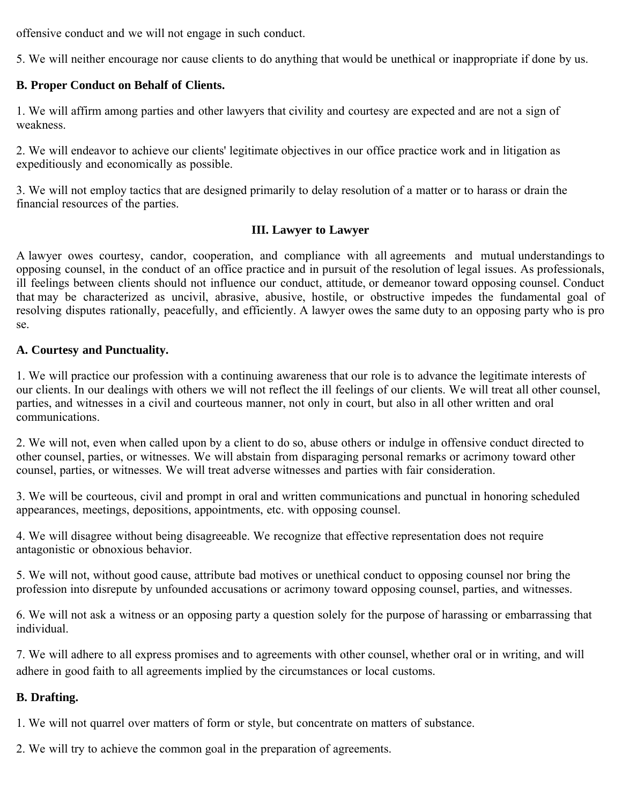offensive conduct and we will not engage in such conduct.

5. We will neither encourage nor cause clients to do anything that would be unethical or inappropriate if done by us.

# **B. Proper Conduct on Behalf of Clients.**

1. We will affirm among parties and other lawyers that civility and courtesy are expected and are not a sign of weakness.

2. We will endeavor to achieve our clients' legitimate objectives in our office practice work and in litigation as expeditiously and economically as possible.

3. We will not employ tactics that are designed primarily to delay resolution of a matter or to harass or drain the financial resources of the parties.

# **III. Lawyer to Lawyer**

A lawyer owes courtesy, candor, cooperation, and compliance with all agreements and mutual understandings to opposing counsel, in the conduct of an office practice and in pursuit of the resolution of legal issues. As professionals, ill feelings between clients should not influence our conduct, attitude, or demeanor toward opposing counsel. Conduct that may be characterized as uncivil, abrasive, abusive, hostile, or obstructive impedes the fundamental goal of resolving disputes rationally, peacefully, and efficiently. A lawyer owes the same duty to an opposing party who is pro se.

## **A. Courtesy and Punctuality.**

1. We will practice our profession with a continuing awareness that our role is to advance the legitimate interests of our clients. In our dealings with others we will not reflect the ill feelings of our clients. We will treat all other counsel, parties, and witnesses in a civil and courteous manner, not only in court, but also in all other written and oral communications.

2. We will not, even when called upon by a client to do so, abuse others or indulge in offensive conduct directed to other counsel, parties, or witnesses. We will abstain from disparaging personal remarks or acrimony toward other counsel, parties, or witnesses. We will treat adverse witnesses and parties with fair consideration.

3. We will be courteous, civil and prompt in oral and written communications and punctual in honoring scheduled appearances, meetings, depositions, appointments, etc. with opposing counsel.

4. We will disagree without being disagreeable. We recognize that effective representation does not require antagonistic or obnoxious behavior.

5. We will not, without good cause, attribute bad motives or unethical conduct to opposing counsel nor bring the profession into disrepute by unfounded accusations or acrimony toward opposing counsel, parties, and witnesses.

6. We will not ask a witness or an opposing party a question solely for the purpose of harassing or embarrassing that individual.

7. We will adhere to all express promises and to agreements with other counsel, whether oral or in writing, and will adhere in good faith to all agreements implied by the circumstances or local customs.

# **B. Drafting.**

1. We will not quarrel over matters of form or style, but concentrate on matters of substance.

2. We will try to achieve the common goal in the preparation of agreements.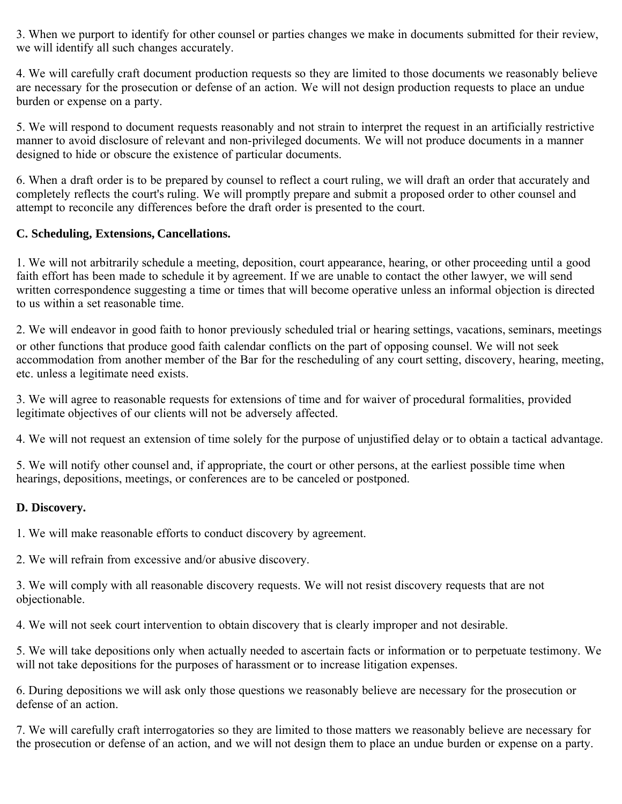3. When we purport to identify for other counsel or parties changes we make in documents submitted for their review, we will identify all such changes accurately.

4. We will carefully craft document production requests so they are limited to those documents we reasonably believe are necessary for the prosecution or defense of an action. We will not design production requests to place an undue burden or expense on a party.

5. We will respond to document requests reasonably and not strain to interpret the request in an artificially restrictive manner to avoid disclosure of relevant and non-privileged documents. We will not produce documents in a manner designed to hide or obscure the existence of particular documents.

6. When a draft order is to be prepared by counsel to reflect a court ruling, we will draft an order that accurately and completely reflects the court's ruling. We will promptly prepare and submit a proposed order to other counsel and attempt to reconcile any differences before the draft order is presented to the court.

# **C. Scheduling, Extensions, Cancellations.**

1. We will not arbitrarily schedule a meeting, deposition, court appearance, hearing, or other proceeding until a good faith effort has been made to schedule it by agreement. If we are unable to contact the other lawyer, we will send written correspondence suggesting a time or times that will become operative unless an informal objection is directed to us within a set reasonable time.

2. We will endeavor in good faith to honor previously scheduled trial or hearing settings, vacations, seminars, meetings or other functions that produce good faith calendar conflicts on the part of opposing counsel. We will not seek accommodation from another member of the Bar for the rescheduling of any court setting, discovery, hearing, meeting, etc. unless a legitimate need exists.

3. We will agree to reasonable requests for extensions of time and for waiver of procedural formalities, provided legitimate objectives of our clients will not be adversely affected.

4. We will not request an extension of time solely for the purpose of unjustified delay or to obtain a tactical advantage.

5. We will notify other counsel and, if appropriate, the court or other persons, at the earliest possible time when hearings, depositions, meetings, or conferences are to be canceled or postponed.

# **D. Discovery.**

1. We will make reasonable efforts to conduct discovery by agreement.

2. We will refrain from excessive and/or abusive discovery.

3. We will comply with all reasonable discovery requests. We will not resist discovery requests that are not objectionable.

4. We will not seek court intervention to obtain discovery that is clearly improper and not desirable.

5. We will take depositions only when actually needed to ascertain facts or information or to perpetuate testimony. We will not take depositions for the purposes of harassment or to increase litigation expenses.

6. During depositions we will ask only those questions we reasonably believe are necessary for the prosecution or defense of an action.

7. We will carefully craft interrogatories so they are limited to those matters we reasonably believe are necessary for the prosecution or defense of an action, and we will not design them to place an undue burden or expense on a party.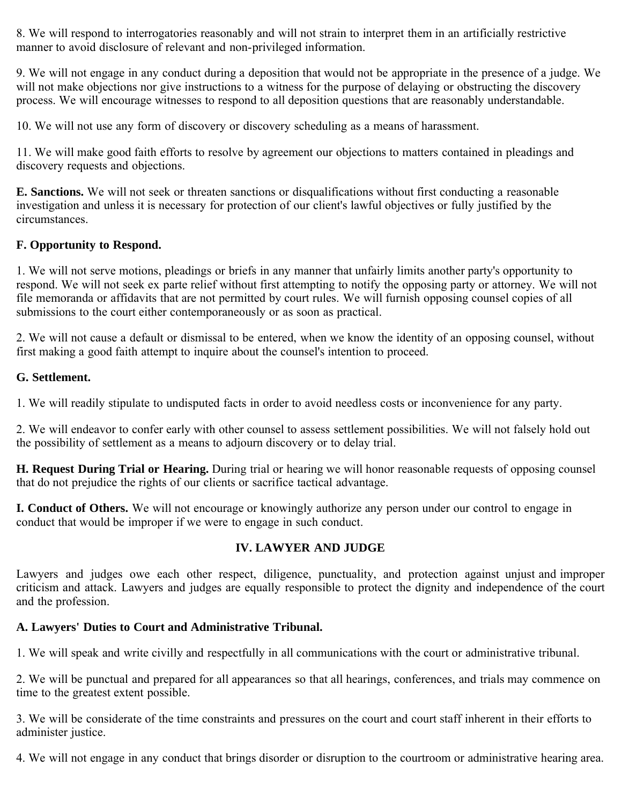8. We will respond to interrogatories reasonably and will not strain to interpret them in an artificially restrictive manner to avoid disclosure of relevant and non-privileged information.

9. We will not engage in any conduct during a deposition that would not be appropriate in the presence of a judge. We will not make objections nor give instructions to a witness for the purpose of delaying or obstructing the discovery process. We will encourage witnesses to respond to all deposition questions that are reasonably understandable.

10. We will not use any form of discovery or discovery scheduling as a means of harassment.

11. We will make good faith efforts to resolve by agreement our objections to matters contained in pleadings and discovery requests and objections.

**E. Sanctions.** We will not seek or threaten sanctions or disqualifications without first conducting a reasonable investigation and unless it is necessary for protection of our client's lawful objectives or fully justified by the circumstances.

# **F. Opportunity to Respond.**

1. We will not serve motions, pleadings or briefs in any manner that unfairly limits another party's opportunity to respond. We will not seek ex parte relief without first attempting to notify the opposing party or attorney. We will not file memoranda or affidavits that are not permitted by court rules. We will furnish opposing counsel copies of all submissions to the court either contemporaneously or as soon as practical.

2. We will not cause a default or dismissal to be entered, when we know the identity of an opposing counsel, without first making a good faith attempt to inquire about the counsel's intention to proceed.

# **G. Settlement.**

1. We will readily stipulate to undisputed facts in order to avoid needless costs or inconvenience for any party.

2. We will endeavor to confer early with other counsel to assess settlement possibilities. We will not falsely hold out the possibility of settlement as a means to adjourn discovery or to delay trial.

**H. Request During Trial or Hearing.** During trial or hearing we will honor reasonable requests of opposing counsel that do not prejudice the rights of our clients or sacrifice tactical advantage.

**I. Conduct of Others.** We will not encourage or knowingly authorize any person under our control to engage in conduct that would be improper if we were to engage in such conduct.

# **IV. LAWYER AND JUDGE**

Lawyers and judges owe each other respect, diligence, punctuality, and protection against unjust and improper criticism and attack. Lawyers and judges are equally responsible to protect the dignity and independence of the court and the profession.

# **A. Lawyers' Duties to Court and Administrative Tribunal.**

1. We will speak and write civilly and respectfully in all communications with the court or administrative tribunal.

2. We will be punctual and prepared for all appearances so that all hearings, conferences, and trials may commence on time to the greatest extent possible.

3. We will be considerate of the time constraints and pressures on the court and court staff inherent in their efforts to administer justice.

4. We will not engage in any conduct that brings disorder or disruption to the courtroom or administrative hearing area.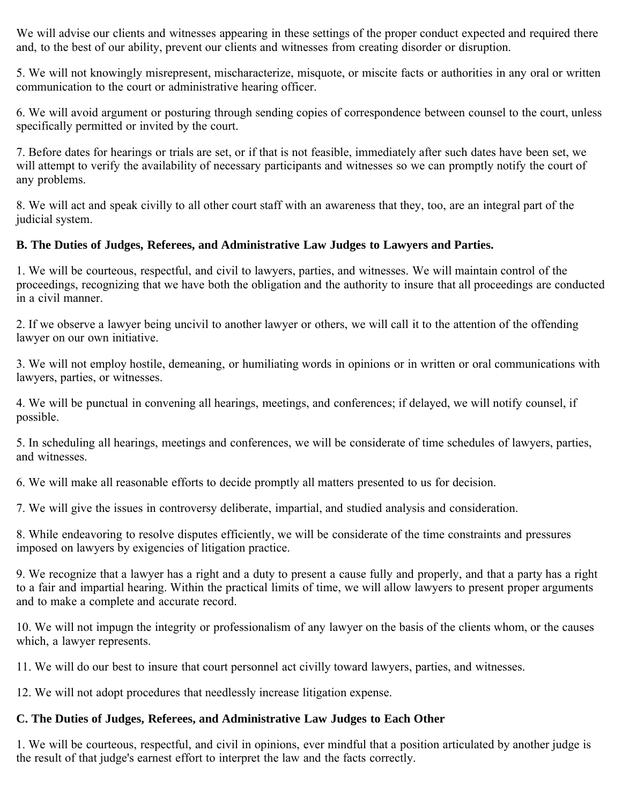We will advise our clients and witnesses appearing in these settings of the proper conduct expected and required there and, to the best of our ability, prevent our clients and witnesses from creating disorder or disruption.

5. We will not knowingly misrepresent, mischaracterize, misquote, or miscite facts or authorities in any oral or written communication to the court or administrative hearing officer.

6. We will avoid argument or posturing through sending copies of correspondence between counsel to the court, unless specifically permitted or invited by the court.

7. Before dates for hearings or trials are set, or if that is not feasible, immediately after such dates have been set, we will attempt to verify the availability of necessary participants and witnesses so we can promptly notify the court of any problems.

8. We will act and speak civilly to all other court staff with an awareness that they, too, are an integral part of the judicial system.

# **B. The Duties of Judges, Referees, and Administrative Law Judges to Lawyers and Parties.**

1. We will be courteous, respectful, and civil to lawyers, parties, and witnesses. We will maintain control of the proceedings, recognizing that we have both the obligation and the authority to insure that all proceedings are conducted in a civil manner.

2. If we observe a lawyer being uncivil to another lawyer or others, we will call it to the attention of the offending lawyer on our own initiative.

3. We will not employ hostile, demeaning, or humiliating words in opinions or in written or oral communications with lawyers, parties, or witnesses.

4. We will be punctual in convening all hearings, meetings, and conferences; if delayed, we will notify counsel, if possible.

5. In scheduling all hearings, meetings and conferences, we will be considerate of time schedules of lawyers, parties, and witnesses.

6. We will make all reasonable efforts to decide promptly all matters presented to us for decision.

7. We will give the issues in controversy deliberate, impartial, and studied analysis and consideration.

8. While endeavoring to resolve disputes efficiently, we will be considerate of the time constraints and pressures imposed on lawyers by exigencies of litigation practice.

9. We recognize that a lawyer has a right and a duty to present a cause fully and properly, and that a party has a right to a fair and impartial hearing. Within the practical limits of time, we will allow lawyers to present proper arguments and to make a complete and accurate record.

10. We will not impugn the integrity or professionalism of any lawyer on the basis of the clients whom, or the causes which, a lawyer represents.

11. We will do our best to insure that court personnel act civilly toward lawyers, parties, and witnesses.

12. We will not adopt procedures that needlessly increase litigation expense.

# **C. The Duties of Judges, Referees, and Administrative Law Judges to Each Other**

1. We will be courteous, respectful, and civil in opinions, ever mindful that a position articulated by another judge is the result of that judge's earnest effort to interpret the law and the facts correctly.